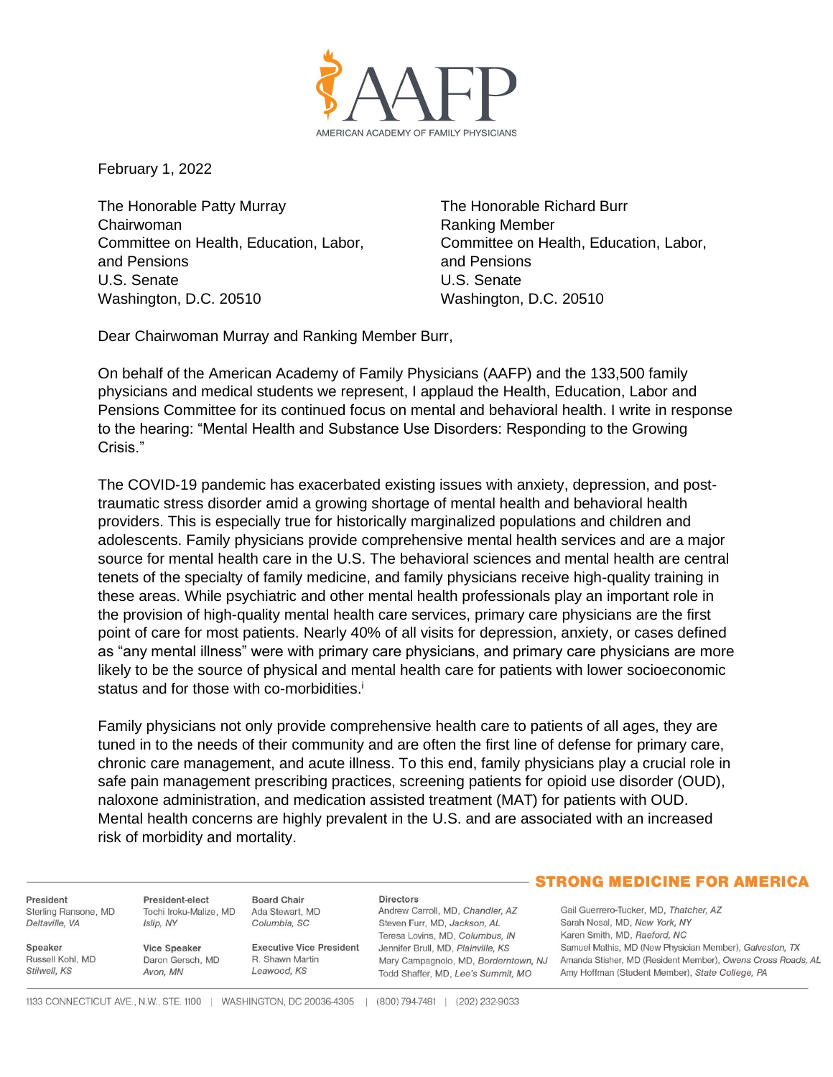

February 1, 2022

The Honorable Patty Murray The Honorable Richard Burr Chairwoman **Chairwoman** Ranking Member and Pensions and Pensions U.S. Senate U.S. Senate Washington, D.C. 20510 Washington, D.C. 20510

Committee on Health, Education, Labor, Committee on Health, Education, Labor,

Dear Chairwoman Murray and Ranking Member Burr,

On behalf of the American Academy of Family Physicians (AAFP) and the 133,500 family physicians and medical students we represent, I applaud the Health, Education, Labor and Pensions Committee for its continued focus on mental and behavioral health. I write in response to the hearing: "Mental Health and Substance Use Disorders: Responding to the Growing Crisis."

The COVID-19 pandemic has exacerbated existing issues with anxiety, depression, and posttraumatic stress disorder amid a growing shortage of mental health and behavioral health providers. This is especially true for historically marginalized populations and children and adolescents. Family physicians provide comprehensive mental health services and are a major source for mental health care in the U.S. The behavioral sciences and mental health are central tenets of the specialty of family medicine, and family physicians receive high-quality training in these areas. While psychiatric and other mental health professionals play an important role in the provision of high-quality mental health care services, primary care physicians are the first point of care for most patients. Nearly 40% of all visits for depression, anxiety, or cases defined as "any mental illness" were with primary care physicians, and primary care physicians are more likely to be the source of physical and mental health care for patients with lower socioeconomic status and for those with co-morbidities.<sup>i</sup>

Family physicians not only provide comprehensive health care to patients of all ages, they are tuned in to the needs of their community and are often the first line of defense for primary care, chronic care management, and acute illness. To this end, family physicians play a crucial role in safe pain management prescribing practices, screening patients for opioid use disorder (OUD), naloxone administration, and medication assisted treatment (MAT) for patients with OUD. Mental health concerns are highly prevalent in the U.S. and are associated with an increased risk of morbidity and mortality.

President Sterling Ransone, MD Deltaville, VA

Russell Kohl, MD

Speaker

Stilwell, KS

President-elect Tochi Iroku-Malize, MD Islip, NY

**Vice Speaker** 

Avon, MN

Daron Gersch, MD

**Board Chair** Ada Stewart, MD Columbia, SC

> **Executive Vice President** R. Shawn Martin Leawood, KS

**Directors** 

Andrew Carroll, MD, Chandler, AZ Steven Furr, MD, Jackson, AL Teresa Lovins, MD, Columbus, IN Jennifer Brull, MD, Plainville, KS Todd Shaffer, MD, Lee's Summit, MO

### **STRONG MEDICINE FOR AMERICA**

Gail Guerrero-Tucker, MD, Thatcher, AZ Sarah Nosal, MD, New York, NY Karen Smith, MD, Raeford, NC Samuel Mathis, MD (New Physician Member), Galveston, TX Mary Campagnolo, MD, Borderntown, NJ Amanda Stisher, MD (Resident Member), Owens Cross Roads, AL Amy Hoffman (Student Member), State College, PA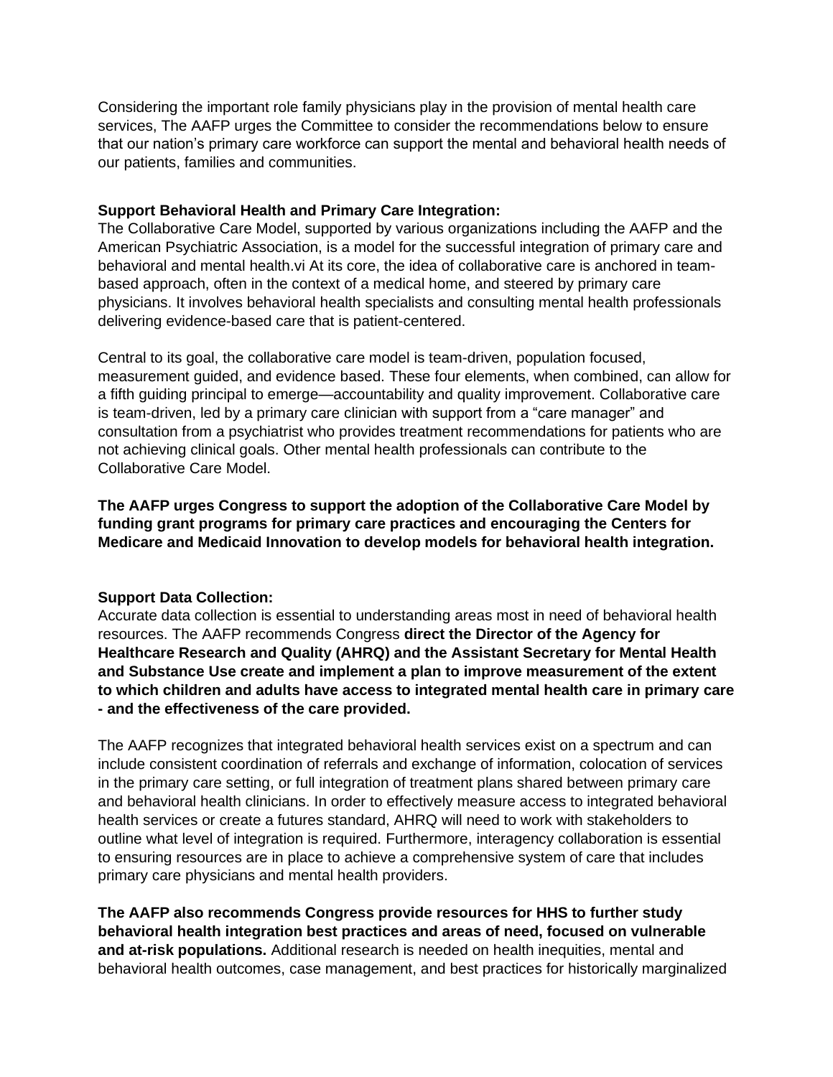Considering the important role family physicians play in the provision of mental health care services, The AAFP urges the Committee to consider the recommendations below to ensure that our nation's primary care workforce can support the mental and behavioral health needs of our patients, families and communities.

# **Support Behavioral Health and Primary Care Integration:**

The Collaborative Care Model, supported by various organizations including the AAFP and the American Psychiatric Association, is a model for the successful integration of primary care and behavioral and mental health.vi At its core, the idea of collaborative care is anchored in teambased approach, often in the context of a medical home, and steered by primary care physicians. It involves behavioral health specialists and consulting mental health professionals delivering evidence-based care that is patient-centered.

Central to its goal, the collaborative care model is team-driven, population focused, measurement guided, and evidence based. These four elements, when combined, can allow for a fifth guiding principal to emerge—accountability and quality improvement. Collaborative care is team-driven, led by a primary care clinician with support from a "care manager" and consultation from a psychiatrist who provides treatment recommendations for patients who are not achieving clinical goals. Other mental health professionals can contribute to the Collaborative Care Model.

**The AAFP urges Congress to support the adoption of the Collaborative Care Model by funding grant programs for primary care practices and encouraging the Centers for Medicare and Medicaid Innovation to develop models for behavioral health integration.**

# **Support Data Collection:**

Accurate data collection is essential to understanding areas most in need of behavioral health resources. The AAFP recommends Congress **direct the Director of the Agency for Healthcare Research and Quality (AHRQ) and the Assistant Secretary for Mental Health and Substance Use create and implement a plan to improve measurement of the extent to which children and adults have access to integrated mental health care in primary care - and the effectiveness of the care provided.**

The AAFP recognizes that integrated behavioral health services exist on a spectrum and can include consistent coordination of referrals and exchange of information, colocation of services in the primary care setting, or full integration of treatment plans shared between primary care and behavioral health clinicians. In order to effectively measure access to integrated behavioral health services or create a futures standard, AHRQ will need to work with stakeholders to outline what level of integration is required. Furthermore, interagency collaboration is essential to ensuring resources are in place to achieve a comprehensive system of care that includes primary care physicians and mental health providers.

**The AAFP also recommends Congress provide resources for HHS to further study behavioral health integration best practices and areas of need, focused on vulnerable and at-risk populations.** Additional research is needed on health inequities, mental and behavioral health outcomes, case management, and best practices for historically marginalized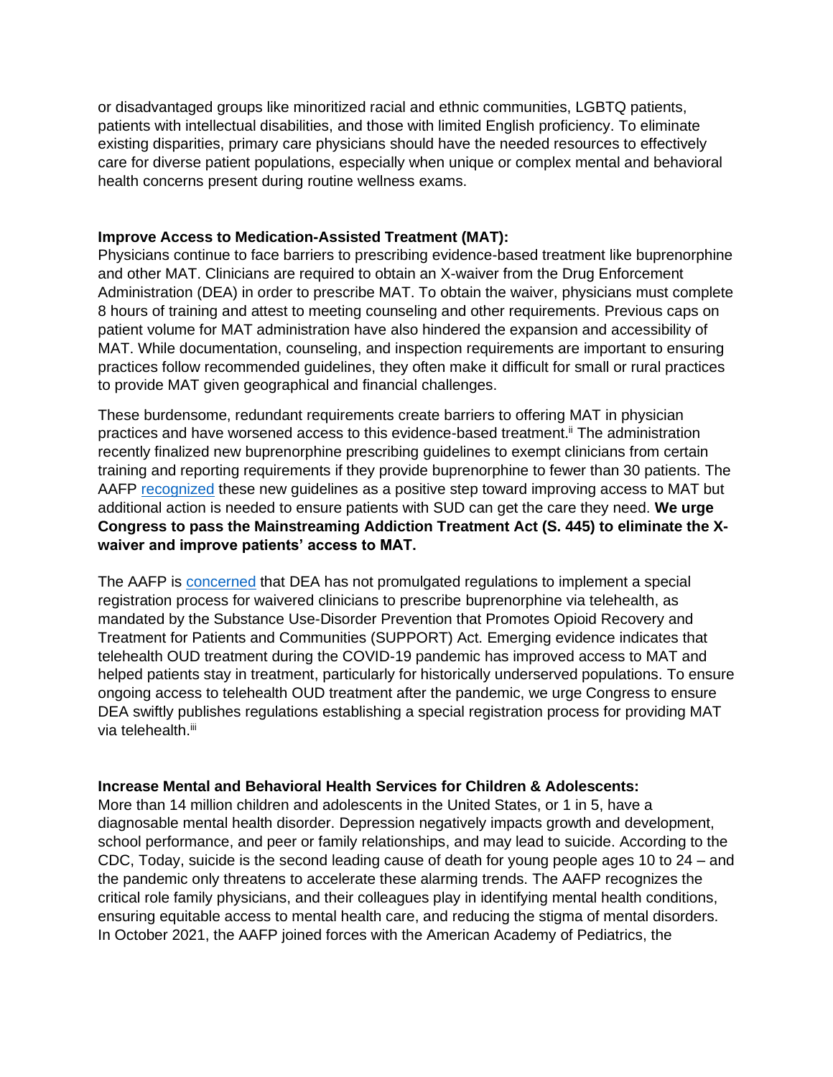or disadvantaged groups like minoritized racial and ethnic communities, LGBTQ patients, patients with intellectual disabilities, and those with limited English proficiency. To eliminate existing disparities, primary care physicians should have the needed resources to effectively care for diverse patient populations, especially when unique or complex mental and behavioral health concerns present during routine wellness exams.

### **Improve Access to Medication-Assisted Treatment (MAT):**

Physicians continue to face barriers to prescribing evidence-based treatment like buprenorphine and other MAT. Clinicians are required to obtain an X-waiver from the Drug Enforcement Administration (DEA) in order to prescribe MAT. To obtain the waiver, physicians must complete 8 hours of training and attest to meeting counseling and other requirements. Previous caps on patient volume for MAT administration have also hindered the expansion and accessibility of MAT. While documentation, counseling, and inspection requirements are important to ensuring practices follow recommended guidelines, they often make it difficult for small or rural practices to provide MAT given geographical and financial challenges.

These burdensome, redundant requirements create barriers to offering MAT in physician practices and have worsened access to this evidence-based treatment.<sup>ii</sup> The administration recently finalized new buprenorphine prescribing guidelines to exempt clinicians from certain training and reporting requirements if they provide buprenorphine to fewer than 30 patients. The AAFP [recognized](https://www.aafp.org/news/media-center/statements/opioid-use-disorder-treatment.html) these new guidelines as a positive step toward improving access to MAT but additional action is needed to ensure patients with SUD can get the care they need. **We urge Congress to pass the Mainstreaming Addiction Treatment Act (S. 445) to eliminate the Xwaiver and improve patients' access to MAT.**

The AAFP is **concerned** that DEA has not promulgated regulations to implement a special registration process for waivered clinicians to prescribe buprenorphine via telehealth, as mandated by the Substance Use-Disorder Prevention that Promotes Opioid Recovery and Treatment for Patients and Communities (SUPPORT) Act. Emerging evidence indicates that telehealth OUD treatment during the COVID-19 pandemic has improved access to MAT and helped patients stay in treatment, particularly for historically underserved populations. To ensure ongoing access to telehealth OUD treatment after the pandemic, we urge Congress to ensure DEA swiftly publishes regulations establishing a special registration process for providing MAT via telehealth.<sup>iii</sup>

### **Increase Mental and Behavioral Health Services for Children & Adolescents:**

More than 14 million children and adolescents in the United States, or 1 in 5, have a diagnosable mental health disorder. Depression negatively impacts growth and development, school performance, and peer or family relationships, and may lead to suicide. According to the CDC, Today, suicide is the second leading cause of death for young people ages 10 to 24 – and the pandemic only threatens to accelerate these alarming trends. The AAFP recognizes the critical role family physicians, and their colleagues play in identifying mental health conditions, ensuring equitable access to mental health care, and reducing the stigma of mental disorders. In October 2021, the AAFP joined forces with the American Academy of Pediatrics, the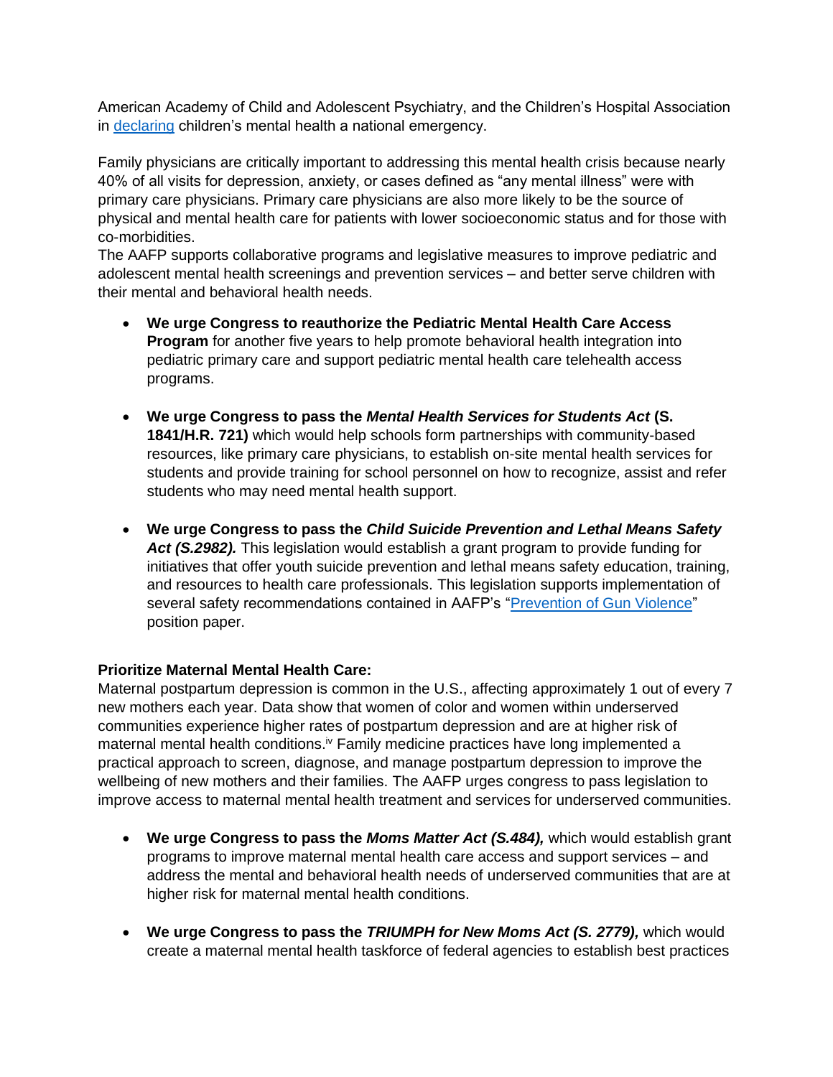American Academy of Child and Adolescent Psychiatry, and the Children's Hospital Association in [declaring](https://www.aafp.org/news/media-center/statements/family-physicians-mental-health-care-children-families.html) children's mental health a national emergency.

Family physicians are critically important to addressing this mental health crisis because nearly 40% of all visits for depression, anxiety, or cases defined as "any mental illness" were with primary care physicians. Primary care physicians are also more likely to be the source of physical and mental health care for patients with lower socioeconomic status and for those with co-morbidities.

The AAFP supports collaborative programs and legislative measures to improve pediatric and adolescent mental health screenings and prevention services – and better serve children with their mental and behavioral health needs.

- **We urge Congress to reauthorize the Pediatric Mental Health Care Access Program** for another five years to help promote behavioral health integration into pediatric primary care and support pediatric mental health care telehealth access programs.
- **We urge Congress to pass the** *Mental Health Services for Students Act* **(S. 1841/H.R. 721)** which would help schools form partnerships with community-based resources, like primary care physicians, to establish on-site mental health services for students and provide training for school personnel on how to recognize, assist and refer students who may need mental health support.
- **We urge Congress to pass the** *Child Suicide Prevention and Lethal Means Safety Act (S.2982).* This legislation would establish a grant program to provide funding for initiatives that offer youth suicide prevention and lethal means safety education, training, and resources to health care professionals. This legislation supports implementation of several safety recommendations contained in AAFP's ["Prevention of Gun Violence"](https://www.aafp.org/about/policies/all/gun-violence.html) position paper.

# **Prioritize Maternal Mental Health Care:**

Maternal postpartum depression is common in the U.S., affecting approximately 1 out of every 7 new mothers each year. Data show that women of color and women within underserved communities experience higher rates of postpartum depression and are at higher risk of maternal mental health conditions.<sup>iv</sup> Family medicine practices have long implemented a practical approach to screen, diagnose, and manage postpartum depression to improve the wellbeing of new mothers and their families. The AAFP urges congress to pass legislation to improve access to maternal mental health treatment and services for underserved communities.

- **We urge Congress to pass the** *Moms Matter Act (S.484),* which would establish grant programs to improve maternal mental health care access and support services – and address the mental and behavioral health needs of underserved communities that are at higher risk for maternal mental health conditions.
- **We urge Congress to pass the** *TRIUMPH for New Moms Act (S. 2779),* which would create a maternal mental health taskforce of federal agencies to establish best practices